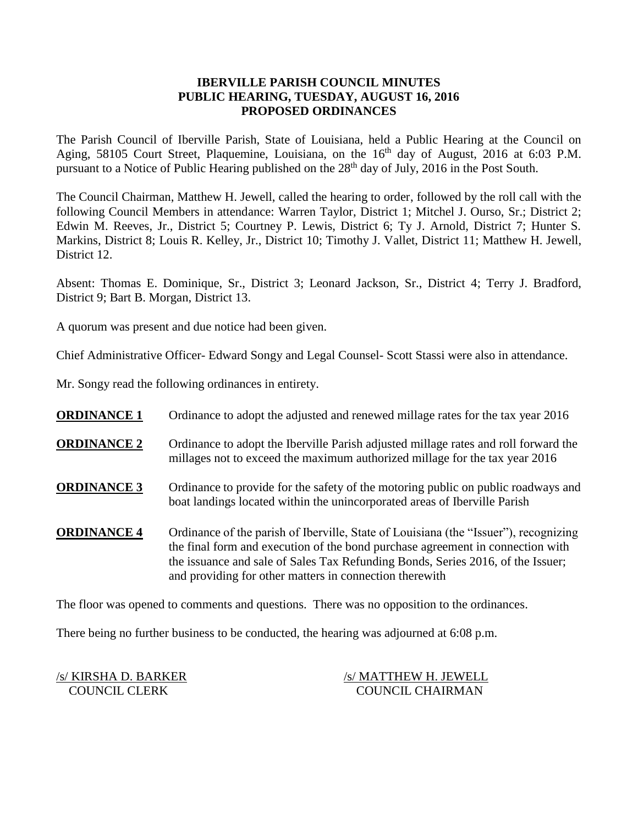### **IBERVILLE PARISH COUNCIL MINUTES PUBLIC HEARING, TUESDAY, AUGUST 16, 2016 PROPOSED ORDINANCES**

The Parish Council of Iberville Parish, State of Louisiana, held a Public Hearing at the Council on Aging, 58105 Court Street, Plaquemine, Louisiana, on the 16<sup>th</sup> day of August, 2016 at 6:03 P.M. pursuant to a Notice of Public Hearing published on the 28<sup>th</sup> day of July, 2016 in the Post South.

The Council Chairman, Matthew H. Jewell, called the hearing to order, followed by the roll call with the following Council Members in attendance: Warren Taylor, District 1; Mitchel J. Ourso, Sr.; District 2; Edwin M. Reeves, Jr., District 5; Courtney P. Lewis, District 6; Ty J. Arnold, District 7; Hunter S. Markins, District 8; Louis R. Kelley, Jr., District 10; Timothy J. Vallet, District 11; Matthew H. Jewell, District 12.

Absent: Thomas E. Dominique, Sr., District 3; Leonard Jackson, Sr., District 4; Terry J. Bradford, District 9; Bart B. Morgan, District 13.

A quorum was present and due notice had been given.

Chief Administrative Officer- Edward Songy and Legal Counsel- Scott Stassi were also in attendance.

Mr. Songy read the following ordinances in entirety.

| <b>ORDINANCE 1</b> | Ordinance to adopt the adjusted and renewed millage rates for the tax year 2016                                                                                                                                                                                                                                      |
|--------------------|----------------------------------------------------------------------------------------------------------------------------------------------------------------------------------------------------------------------------------------------------------------------------------------------------------------------|
| <b>ORDINANCE 2</b> | Ordinance to adopt the Iberville Parish adjusted millage rates and roll forward the<br>millages not to exceed the maximum authorized millage for the tax year 2016                                                                                                                                                   |
| <b>ORDINANCE 3</b> | Ordinance to provide for the safety of the motoring public on public roadways and<br>boat landings located within the unincorporated areas of Iberville Parish                                                                                                                                                       |
| <b>ORDINANCE 4</b> | Ordinance of the parish of Iberville, State of Louisiana (the "Issuer"), recognizing<br>the final form and execution of the bond purchase agreement in connection with<br>the issuance and sale of Sales Tax Refunding Bonds, Series 2016, of the Issuer;<br>and providing for other matters in connection therewith |

The floor was opened to comments and questions. There was no opposition to the ordinances.

There being no further business to be conducted, the hearing was adjourned at 6:08 p.m.

/s/ KIRSHA D. BARKER /s/ MATTHEW H. JEWELL COUNCIL CLERK COUNCIL CHAIRMAN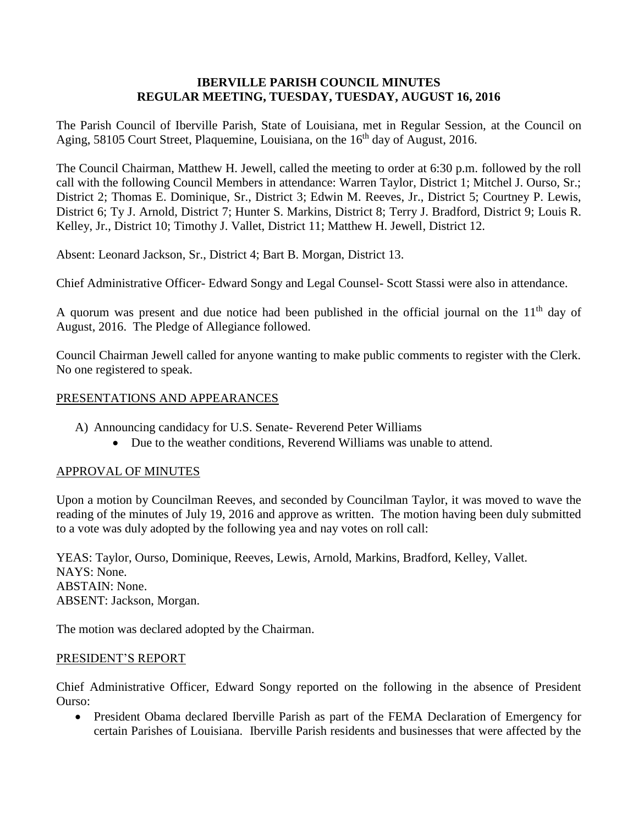### **IBERVILLE PARISH COUNCIL MINUTES REGULAR MEETING, TUESDAY, TUESDAY, AUGUST 16, 2016**

The Parish Council of Iberville Parish, State of Louisiana, met in Regular Session, at the Council on Aging, 58105 Court Street, Plaquemine, Louisiana, on the 16<sup>th</sup> day of August, 2016.

The Council Chairman, Matthew H. Jewell, called the meeting to order at 6:30 p.m. followed by the roll call with the following Council Members in attendance: Warren Taylor, District 1; Mitchel J. Ourso, Sr.; District 2; Thomas E. Dominique, Sr., District 3; Edwin M. Reeves, Jr., District 5; Courtney P. Lewis, District 6; Ty J. Arnold, District 7; Hunter S. Markins, District 8; Terry J. Bradford, District 9; Louis R. Kelley, Jr., District 10; Timothy J. Vallet, District 11; Matthew H. Jewell, District 12.

Absent: Leonard Jackson, Sr., District 4; Bart B. Morgan, District 13.

Chief Administrative Officer- Edward Songy and Legal Counsel- Scott Stassi were also in attendance.

A quorum was present and due notice had been published in the official journal on the  $11<sup>th</sup>$  day of August, 2016. The Pledge of Allegiance followed.

Council Chairman Jewell called for anyone wanting to make public comments to register with the Clerk. No one registered to speak.

### PRESENTATIONS AND APPEARANCES

- A) Announcing candidacy for U.S. Senate- Reverend Peter Williams
	- Due to the weather conditions, Reverend Williams was unable to attend.

#### APPROVAL OF MINUTES

Upon a motion by Councilman Reeves, and seconded by Councilman Taylor, it was moved to wave the reading of the minutes of July 19, 2016 and approve as written. The motion having been duly submitted to a vote was duly adopted by the following yea and nay votes on roll call:

YEAS: Taylor, Ourso, Dominique, Reeves, Lewis, Arnold, Markins, Bradford, Kelley, Vallet. NAYS: None. ABSTAIN: None. ABSENT: Jackson, Morgan.

The motion was declared adopted by the Chairman.

#### PRESIDENT'S REPORT

Chief Administrative Officer, Edward Songy reported on the following in the absence of President Ourso:

 President Obama declared Iberville Parish as part of the FEMA Declaration of Emergency for certain Parishes of Louisiana. Iberville Parish residents and businesses that were affected by the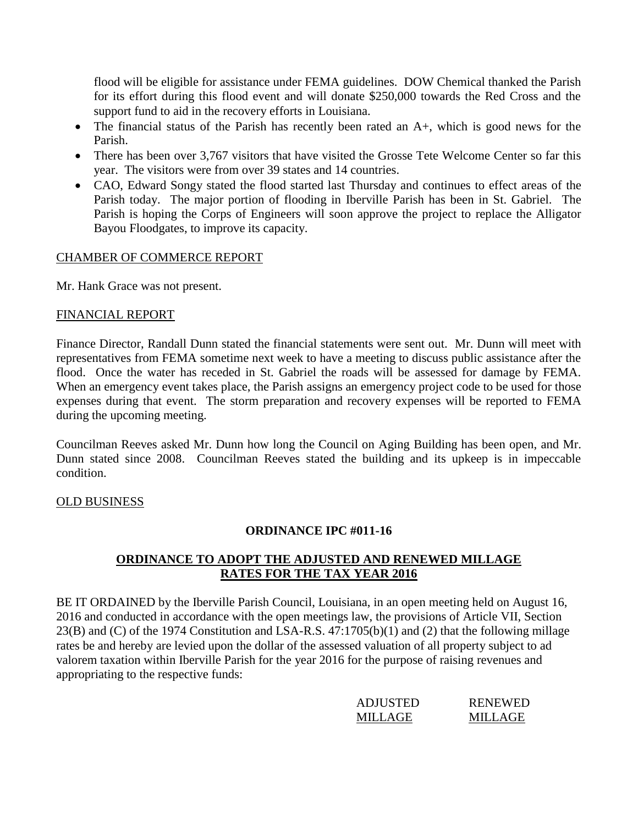flood will be eligible for assistance under FEMA guidelines. DOW Chemical thanked the Parish for its effort during this flood event and will donate \$250,000 towards the Red Cross and the support fund to aid in the recovery efforts in Louisiana.

- The financial status of the Parish has recently been rated an A+, which is good news for the Parish.
- There has been over 3.767 visitors that have visited the Grosse Tete Welcome Center so far this year. The visitors were from over 39 states and 14 countries.
- CAO, Edward Songy stated the flood started last Thursday and continues to effect areas of the Parish today. The major portion of flooding in Iberville Parish has been in St. Gabriel. The Parish is hoping the Corps of Engineers will soon approve the project to replace the Alligator Bayou Floodgates, to improve its capacity.

# CHAMBER OF COMMERCE REPORT

Mr. Hank Grace was not present.

### FINANCIAL REPORT

Finance Director, Randall Dunn stated the financial statements were sent out. Mr. Dunn will meet with representatives from FEMA sometime next week to have a meeting to discuss public assistance after the flood. Once the water has receded in St. Gabriel the roads will be assessed for damage by FEMA. When an emergency event takes place, the Parish assigns an emergency project code to be used for those expenses during that event. The storm preparation and recovery expenses will be reported to FEMA during the upcoming meeting.

Councilman Reeves asked Mr. Dunn how long the Council on Aging Building has been open, and Mr. Dunn stated since 2008. Councilman Reeves stated the building and its upkeep is in impeccable condition.

# OLD BUSINESS

# **ORDINANCE IPC #011-16**

# **ORDINANCE TO ADOPT THE ADJUSTED AND RENEWED MILLAGE RATES FOR THE TAX YEAR 2016**

BE IT ORDAINED by the Iberville Parish Council, Louisiana, in an open meeting held on August 16, 2016 and conducted in accordance with the open meetings law, the provisions of Article VII, Section 23(B) and (C) of the 1974 Constitution and LSA-R.S. 47:1705(b)(1) and (2) that the following millage rates be and hereby are levied upon the dollar of the assessed valuation of all property subject to ad valorem taxation within Iberville Parish for the year 2016 for the purpose of raising revenues and appropriating to the respective funds:

| <b>ADJUSTED</b> | <b>RENEWED</b> |
|-----------------|----------------|
| MILLAGE         | MILLAGE        |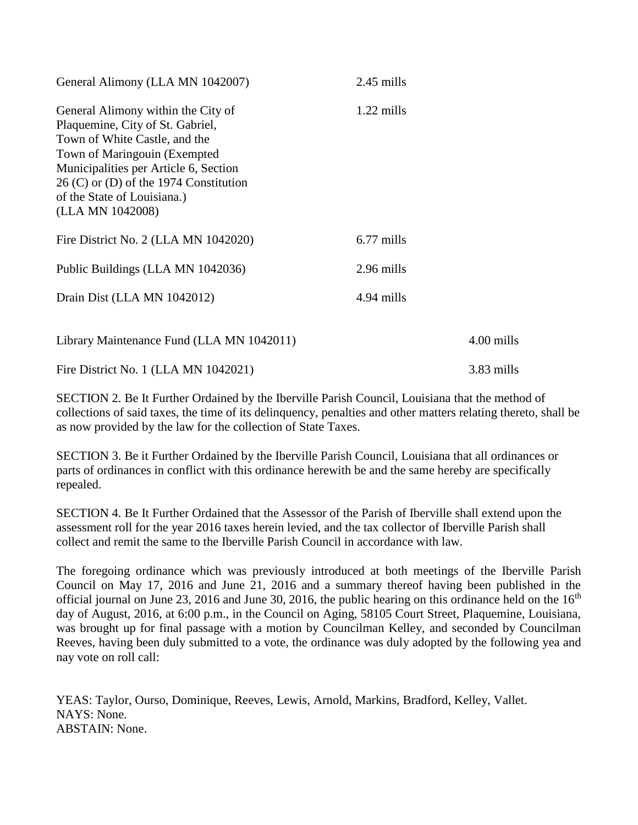| General Alimony (LLA MN 1042007)                                                                                                                                                                                                                                                | 2.45 mills |            |
|---------------------------------------------------------------------------------------------------------------------------------------------------------------------------------------------------------------------------------------------------------------------------------|------------|------------|
| General Alimony within the City of<br>Plaquemine, City of St. Gabriel,<br>Town of White Castle, and the<br>Town of Maringouin (Exempted<br>Municipalities per Article 6, Section<br>$26$ (C) or (D) of the 1974 Constitution<br>of the State of Louisiana.)<br>(LLA MN 1042008) | 1.22 mills |            |
| Fire District No. 2 (LLA MN 1042020)                                                                                                                                                                                                                                            | 6.77 mills |            |
| Public Buildings (LLA MN 1042036)                                                                                                                                                                                                                                               | 2.96 mills |            |
| Drain Dist (LLA MN 1042012)                                                                                                                                                                                                                                                     | 4.94 mills |            |
| Library Maintenance Fund (LLA MN 1042011)                                                                                                                                                                                                                                       |            | 4.00 mills |
| Fire District No. 1 (LLA MN 1042021)                                                                                                                                                                                                                                            |            | 3.83 mills |

SECTION 2. Be It Further Ordained by the Iberville Parish Council, Louisiana that the method of collections of said taxes, the time of its delinquency, penalties and other matters relating thereto, shall be as now provided by the law for the collection of State Taxes.

SECTION 3. Be it Further Ordained by the Iberville Parish Council, Louisiana that all ordinances or parts of ordinances in conflict with this ordinance herewith be and the same hereby are specifically repealed.

SECTION 4. Be It Further Ordained that the Assessor of the Parish of Iberville shall extend upon the assessment roll for the year 2016 taxes herein levied, and the tax collector of Iberville Parish shall collect and remit the same to the Iberville Parish Council in accordance with law.

The foregoing ordinance which was previously introduced at both meetings of the Iberville Parish Council on May 17, 2016 and June 21, 2016 and a summary thereof having been published in the official journal on June 23, 2016 and June 30, 2016, the public hearing on this ordinance held on the  $16<sup>th</sup>$ day of August, 2016, at 6:00 p.m., in the Council on Aging, 58105 Court Street, Plaquemine, Louisiana, was brought up for final passage with a motion by Councilman Kelley, and seconded by Councilman Reeves, having been duly submitted to a vote, the ordinance was duly adopted by the following yea and nay vote on roll call:

YEAS: Taylor, Ourso, Dominique, Reeves, Lewis, Arnold, Markins, Bradford, Kelley, Vallet. NAYS: None. ABSTAIN: None.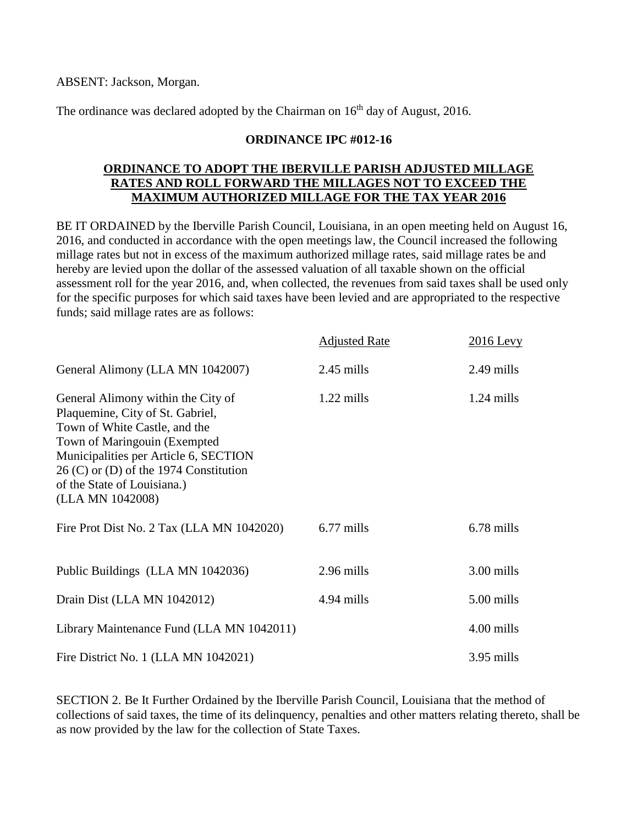ABSENT: Jackson, Morgan.

The ordinance was declared adopted by the Chairman on  $16<sup>th</sup>$  day of August, 2016.

### **ORDINANCE IPC #012-16**

### **ORDINANCE TO ADOPT THE IBERVILLE PARISH ADJUSTED MILLAGE RATES AND ROLL FORWARD THE MILLAGES NOT TO EXCEED THE MAXIMUM AUTHORIZED MILLAGE FOR THE TAX YEAR 2016**

BE IT ORDAINED by the Iberville Parish Council, Louisiana, in an open meeting held on August 16, 2016, and conducted in accordance with the open meetings law, the Council increased the following millage rates but not in excess of the maximum authorized millage rates, said millage rates be and hereby are levied upon the dollar of the assessed valuation of all taxable shown on the official assessment roll for the year 2016, and, when collected, the revenues from said taxes shall be used only for the specific purposes for which said taxes have been levied and are appropriated to the respective funds; said millage rates are as follows:

|                                                                                                                                                                                                                                                                                 | <b>Adjusted Rate</b> | $2016$ Levy  |
|---------------------------------------------------------------------------------------------------------------------------------------------------------------------------------------------------------------------------------------------------------------------------------|----------------------|--------------|
| General Alimony (LLA MN 1042007)                                                                                                                                                                                                                                                | $2.45$ mills         | 2.49 mills   |
| General Alimony within the City of<br>Plaquemine, City of St. Gabriel,<br>Town of White Castle, and the<br>Town of Maringouin (Exempted<br>Municipalities per Article 6, SECTION<br>$26$ (C) or (D) of the 1974 Constitution<br>of the State of Louisiana.)<br>(LLA MN 1042008) | $1.22$ mills         | $1.24$ mills |
| Fire Prot Dist No. 2 Tax (LLA MN 1042020)                                                                                                                                                                                                                                       | 6.77 mills           | 6.78 mills   |
| Public Buildings (LLA MN 1042036)                                                                                                                                                                                                                                               | 2.96 mills           | 3.00 mills   |
| Drain Dist (LLA MN 1042012)                                                                                                                                                                                                                                                     | 4.94 mills           | 5.00 mills   |
| Library Maintenance Fund (LLA MN 1042011)                                                                                                                                                                                                                                       |                      | 4.00 mills   |
| Fire District No. 1 (LLA MN 1042021)                                                                                                                                                                                                                                            |                      | 3.95 mills   |

SECTION 2. Be It Further Ordained by the Iberville Parish Council, Louisiana that the method of collections of said taxes, the time of its delinquency, penalties and other matters relating thereto, shall be as now provided by the law for the collection of State Taxes.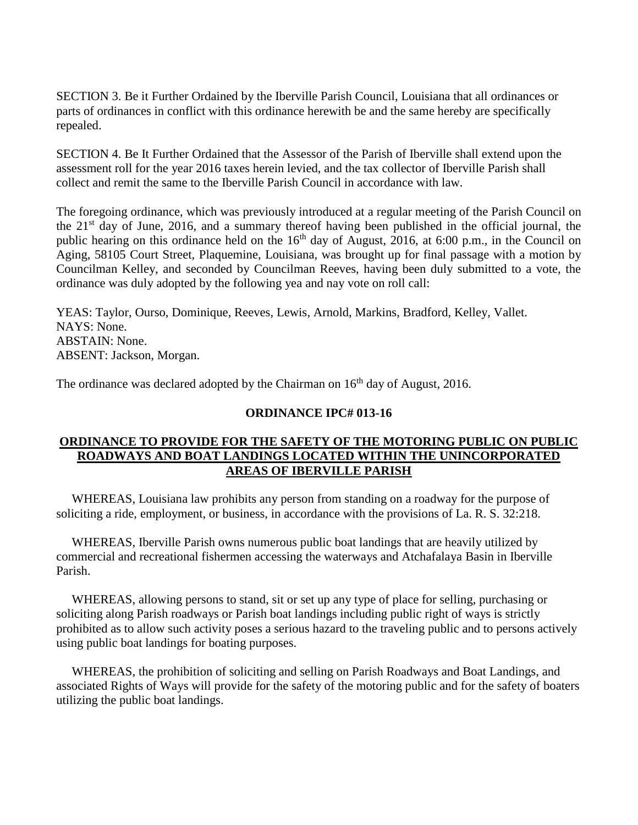SECTION 3. Be it Further Ordained by the Iberville Parish Council, Louisiana that all ordinances or parts of ordinances in conflict with this ordinance herewith be and the same hereby are specifically repealed.

SECTION 4. Be It Further Ordained that the Assessor of the Parish of Iberville shall extend upon the assessment roll for the year 2016 taxes herein levied, and the tax collector of Iberville Parish shall collect and remit the same to the Iberville Parish Council in accordance with law.

The foregoing ordinance, which was previously introduced at a regular meeting of the Parish Council on the 21st day of June, 2016, and a summary thereof having been published in the official journal, the public hearing on this ordinance held on the  $16<sup>th</sup>$  day of August, 2016, at 6:00 p.m., in the Council on Aging, 58105 Court Street, Plaquemine, Louisiana, was brought up for final passage with a motion by Councilman Kelley, and seconded by Councilman Reeves, having been duly submitted to a vote, the ordinance was duly adopted by the following yea and nay vote on roll call:

YEAS: Taylor, Ourso, Dominique, Reeves, Lewis, Arnold, Markins, Bradford, Kelley, Vallet. NAYS: None. ABSTAIN: None. ABSENT: Jackson, Morgan.

The ordinance was declared adopted by the Chairman on  $16<sup>th</sup>$  day of August, 2016.

#### **ORDINANCE IPC# 013-16**

### **ORDINANCE TO PROVIDE FOR THE SAFETY OF THE MOTORING PUBLIC ON PUBLIC ROADWAYS AND BOAT LANDINGS LOCATED WITHIN THE UNINCORPORATED AREAS OF IBERVILLE PARISH**

 WHEREAS, Louisiana law prohibits any person from standing on a roadway for the purpose of soliciting a ride, employment, or business, in accordance with the provisions of La. R. S. 32:218.

 WHEREAS, Iberville Parish owns numerous public boat landings that are heavily utilized by commercial and recreational fishermen accessing the waterways and Atchafalaya Basin in Iberville Parish.

 WHEREAS, allowing persons to stand, sit or set up any type of place for selling, purchasing or soliciting along Parish roadways or Parish boat landings including public right of ways is strictly prohibited as to allow such activity poses a serious hazard to the traveling public and to persons actively using public boat landings for boating purposes.

 WHEREAS, the prohibition of soliciting and selling on Parish Roadways and Boat Landings, and associated Rights of Ways will provide for the safety of the motoring public and for the safety of boaters utilizing the public boat landings.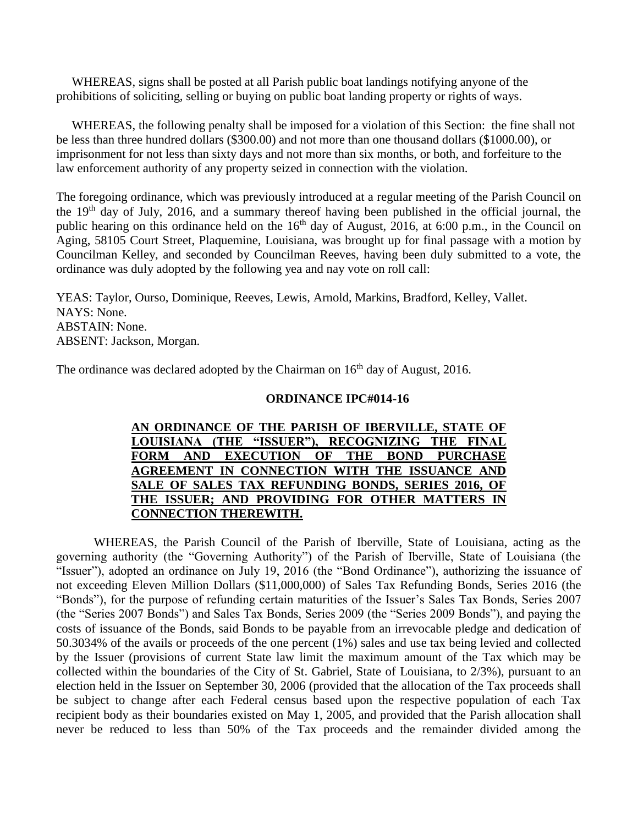WHEREAS, signs shall be posted at all Parish public boat landings notifying anyone of the prohibitions of soliciting, selling or buying on public boat landing property or rights of ways.

 WHEREAS, the following penalty shall be imposed for a violation of this Section: the fine shall not be less than three hundred dollars (\$300.00) and not more than one thousand dollars (\$1000.00), or imprisonment for not less than sixty days and not more than six months, or both, and forfeiture to the law enforcement authority of any property seized in connection with the violation.

The foregoing ordinance, which was previously introduced at a regular meeting of the Parish Council on the 19th day of July, 2016, and a summary thereof having been published in the official journal, the public hearing on this ordinance held on the  $16<sup>th</sup>$  day of August, 2016, at 6:00 p.m., in the Council on Aging, 58105 Court Street, Plaquemine, Louisiana, was brought up for final passage with a motion by Councilman Kelley, and seconded by Councilman Reeves, having been duly submitted to a vote, the ordinance was duly adopted by the following yea and nay vote on roll call:

YEAS: Taylor, Ourso, Dominique, Reeves, Lewis, Arnold, Markins, Bradford, Kelley, Vallet. NAYS: None. ABSTAIN: None. ABSENT: Jackson, Morgan.

The ordinance was declared adopted by the Chairman on  $16<sup>th</sup>$  day of August, 2016.

#### **ORDINANCE IPC#014-16**

### **AN ORDINANCE OF THE PARISH OF IBERVILLE, STATE OF LOUISIANA (THE "ISSUER"), RECOGNIZING THE FINAL FORM AND EXECUTION OF THE BOND PURCHASE AGREEMENT IN CONNECTION WITH THE ISSUANCE AND SALE OF SALES TAX REFUNDING BONDS, SERIES 2016, OF THE ISSUER; AND PROVIDING FOR OTHER MATTERS IN CONNECTION THEREWITH.**

WHEREAS, the Parish Council of the Parish of Iberville, State of Louisiana, acting as the governing authority (the "Governing Authority") of the Parish of Iberville, State of Louisiana (the "Issuer"), adopted an ordinance on July 19, 2016 (the "Bond Ordinance"), authorizing the issuance of not exceeding Eleven Million Dollars (\$11,000,000) of Sales Tax Refunding Bonds, Series 2016 (the "Bonds"), for the purpose of refunding certain maturities of the Issuer's Sales Tax Bonds, Series 2007 (the "Series 2007 Bonds") and Sales Tax Bonds, Series 2009 (the "Series 2009 Bonds"), and paying the costs of issuance of the Bonds, said Bonds to be payable from an irrevocable pledge and dedication of 50.3034% of the avails or proceeds of the one percent (1%) sales and use tax being levied and collected by the Issuer (provisions of current State law limit the maximum amount of the Tax which may be collected within the boundaries of the City of St. Gabriel, State of Louisiana, to 2/3%), pursuant to an election held in the Issuer on September 30, 2006 (provided that the allocation of the Tax proceeds shall be subject to change after each Federal census based upon the respective population of each Tax recipient body as their boundaries existed on May 1, 2005, and provided that the Parish allocation shall never be reduced to less than 50% of the Tax proceeds and the remainder divided among the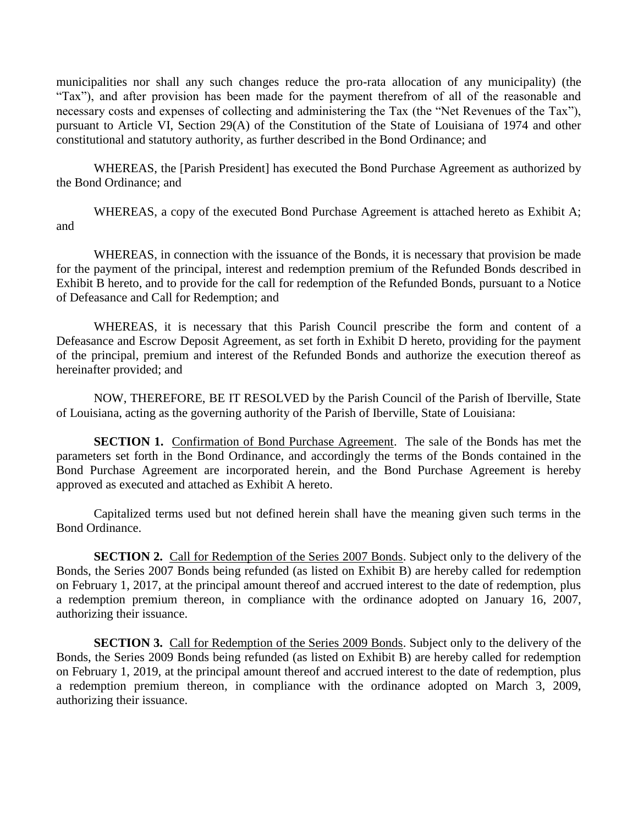municipalities nor shall any such changes reduce the pro-rata allocation of any municipality) (the "Tax"), and after provision has been made for the payment therefrom of all of the reasonable and necessary costs and expenses of collecting and administering the Tax (the "Net Revenues of the Tax"), pursuant to Article VI, Section 29(A) of the Constitution of the State of Louisiana of 1974 and other constitutional and statutory authority, as further described in the Bond Ordinance; and

 WHEREAS, the [Parish President] has executed the Bond Purchase Agreement as authorized by the Bond Ordinance; and

 WHEREAS, a copy of the executed Bond Purchase Agreement is attached hereto as Exhibit A; and

WHEREAS, in connection with the issuance of the Bonds, it is necessary that provision be made for the payment of the principal, interest and redemption premium of the Refunded Bonds described in Exhibit B hereto, and to provide for the call for redemption of the Refunded Bonds, pursuant to a Notice of Defeasance and Call for Redemption; and

WHEREAS, it is necessary that this Parish Council prescribe the form and content of a Defeasance and Escrow Deposit Agreement, as set forth in Exhibit D hereto, providing for the payment of the principal, premium and interest of the Refunded Bonds and authorize the execution thereof as hereinafter provided; and

NOW, THEREFORE, BE IT RESOLVED by the Parish Council of the Parish of Iberville, State of Louisiana, acting as the governing authority of the Parish of Iberville, State of Louisiana:

**SECTION 1.** Confirmation of Bond Purchase Agreement. The sale of the Bonds has met the parameters set forth in the Bond Ordinance, and accordingly the terms of the Bonds contained in the Bond Purchase Agreement are incorporated herein, and the Bond Purchase Agreement is hereby approved as executed and attached as Exhibit A hereto.

Capitalized terms used but not defined herein shall have the meaning given such terms in the Bond Ordinance.

**SECTION 2.** Call for Redemption of the Series 2007 Bonds. Subject only to the delivery of the Bonds, the Series 2007 Bonds being refunded (as listed on Exhibit B) are hereby called for redemption on February 1, 2017, at the principal amount thereof and accrued interest to the date of redemption, plus a redemption premium thereon, in compliance with the ordinance adopted on January 16, 2007, authorizing their issuance.

**SECTION 3.** Call for Redemption of the Series 2009 Bonds. Subject only to the delivery of the Bonds, the Series 2009 Bonds being refunded (as listed on Exhibit B) are hereby called for redemption on February 1, 2019, at the principal amount thereof and accrued interest to the date of redemption, plus a redemption premium thereon, in compliance with the ordinance adopted on March 3, 2009, authorizing their issuance.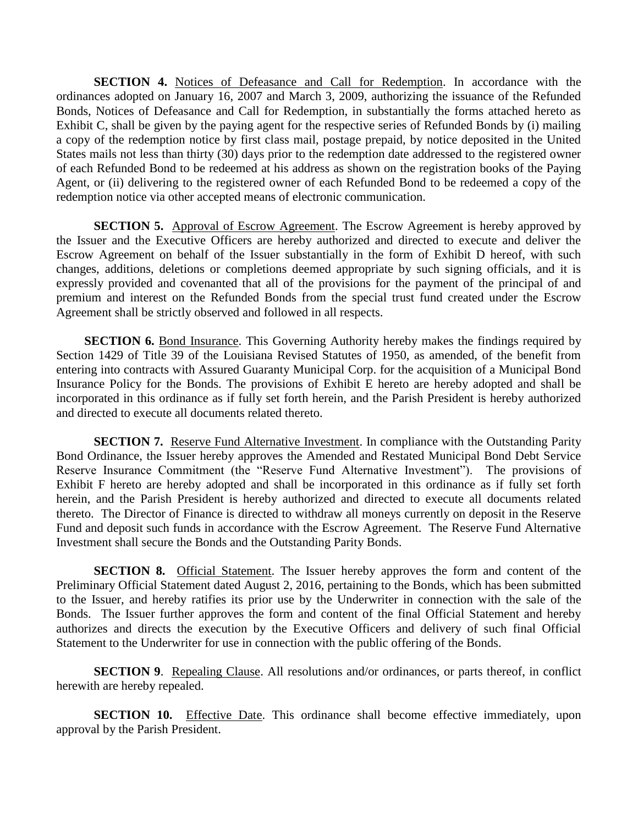**SECTION 4.** Notices of Defeasance and Call for Redemption. In accordance with the ordinances adopted on January 16, 2007 and March 3, 2009, authorizing the issuance of the Refunded Bonds, Notices of Defeasance and Call for Redemption, in substantially the forms attached hereto as Exhibit C, shall be given by the paying agent for the respective series of Refunded Bonds by (i) mailing a copy of the redemption notice by first class mail, postage prepaid, by notice deposited in the United States mails not less than thirty (30) days prior to the redemption date addressed to the registered owner of each Refunded Bond to be redeemed at his address as shown on the registration books of the Paying Agent, or (ii) delivering to the registered owner of each Refunded Bond to be redeemed a copy of the redemption notice via other accepted means of electronic communication.

**SECTION 5.** Approval of Escrow Agreement. The Escrow Agreement is hereby approved by the Issuer and the Executive Officers are hereby authorized and directed to execute and deliver the Escrow Agreement on behalf of the Issuer substantially in the form of Exhibit D hereof, with such changes, additions, deletions or completions deemed appropriate by such signing officials, and it is expressly provided and covenanted that all of the provisions for the payment of the principal of and premium and interest on the Refunded Bonds from the special trust fund created under the Escrow Agreement shall be strictly observed and followed in all respects.

**SECTION 6.** Bond Insurance. This Governing Authority hereby makes the findings required by Section 1429 of Title 39 of the Louisiana Revised Statutes of 1950, as amended, of the benefit from entering into contracts with Assured Guaranty Municipal Corp. for the acquisition of a Municipal Bond Insurance Policy for the Bonds. The provisions of Exhibit E hereto are hereby adopted and shall be incorporated in this ordinance as if fully set forth herein, and the Parish President is hereby authorized and directed to execute all documents related thereto.

**SECTION 7.** Reserve Fund Alternative Investment. In compliance with the Outstanding Parity Bond Ordinance, the Issuer hereby approves the Amended and Restated Municipal Bond Debt Service Reserve Insurance Commitment (the "Reserve Fund Alternative Investment"). The provisions of Exhibit F hereto are hereby adopted and shall be incorporated in this ordinance as if fully set forth herein, and the Parish President is hereby authorized and directed to execute all documents related thereto. The Director of Finance is directed to withdraw all moneys currently on deposit in the Reserve Fund and deposit such funds in accordance with the Escrow Agreement. The Reserve Fund Alternative Investment shall secure the Bonds and the Outstanding Parity Bonds.

**SECTION 8.** Official Statement. The Issuer hereby approves the form and content of the Preliminary Official Statement dated August 2, 2016, pertaining to the Bonds, which has been submitted to the Issuer, and hereby ratifies its prior use by the Underwriter in connection with the sale of the Bonds. The Issuer further approves the form and content of the final Official Statement and hereby authorizes and directs the execution by the Executive Officers and delivery of such final Official Statement to the Underwriter for use in connection with the public offering of the Bonds.

**SECTION 9.** Repealing Clause. All resolutions and/or ordinances, or parts thereof, in conflict herewith are hereby repealed.

**SECTION 10.** Effective Date. This ordinance shall become effective immediately, upon approval by the Parish President.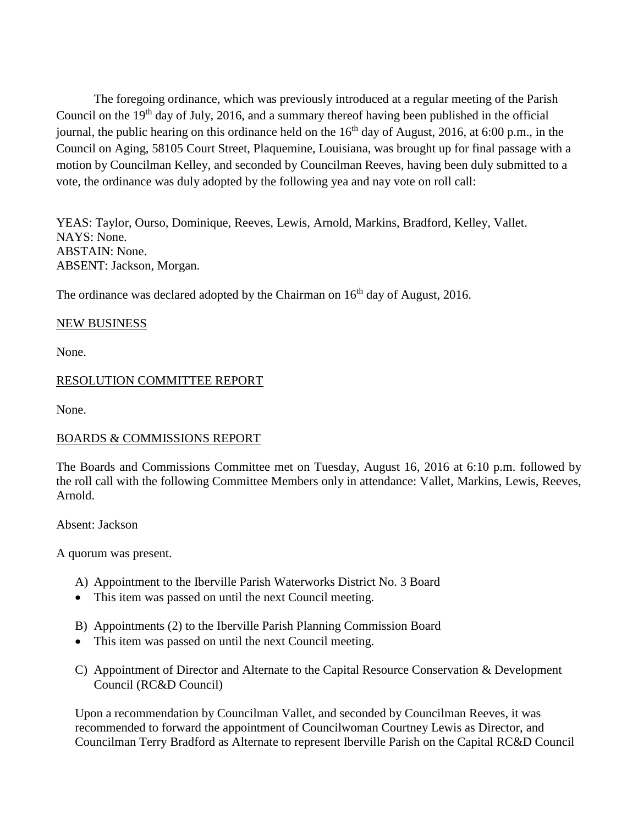The foregoing ordinance, which was previously introduced at a regular meeting of the Parish Council on the  $19<sup>th</sup>$  day of July, 2016, and a summary thereof having been published in the official journal, the public hearing on this ordinance held on the  $16<sup>th</sup>$  day of August, 2016, at 6:00 p.m., in the Council on Aging, 58105 Court Street, Plaquemine, Louisiana, was brought up for final passage with a motion by Councilman Kelley, and seconded by Councilman Reeves, having been duly submitted to a vote, the ordinance was duly adopted by the following yea and nay vote on roll call:

YEAS: Taylor, Ourso, Dominique, Reeves, Lewis, Arnold, Markins, Bradford, Kelley, Vallet. NAYS: None. ABSTAIN: None. ABSENT: Jackson, Morgan.

The ordinance was declared adopted by the Chairman on  $16<sup>th</sup>$  day of August, 2016.

#### NEW BUSINESS

None.

#### RESOLUTION COMMITTEE REPORT

None.

#### BOARDS & COMMISSIONS REPORT

The Boards and Commissions Committee met on Tuesday, August 16, 2016 at 6:10 p.m. followed by the roll call with the following Committee Members only in attendance: Vallet, Markins, Lewis, Reeves, Arnold.

Absent: Jackson

A quorum was present.

- A) Appointment to the Iberville Parish Waterworks District No. 3 Board
- This item was passed on until the next Council meeting.
- B) Appointments (2) to the Iberville Parish Planning Commission Board
- This item was passed on until the next Council meeting.
- C) Appointment of Director and Alternate to the Capital Resource Conservation & Development Council (RC&D Council)

Upon a recommendation by Councilman Vallet, and seconded by Councilman Reeves, it was recommended to forward the appointment of Councilwoman Courtney Lewis as Director, and Councilman Terry Bradford as Alternate to represent Iberville Parish on the Capital RC&D Council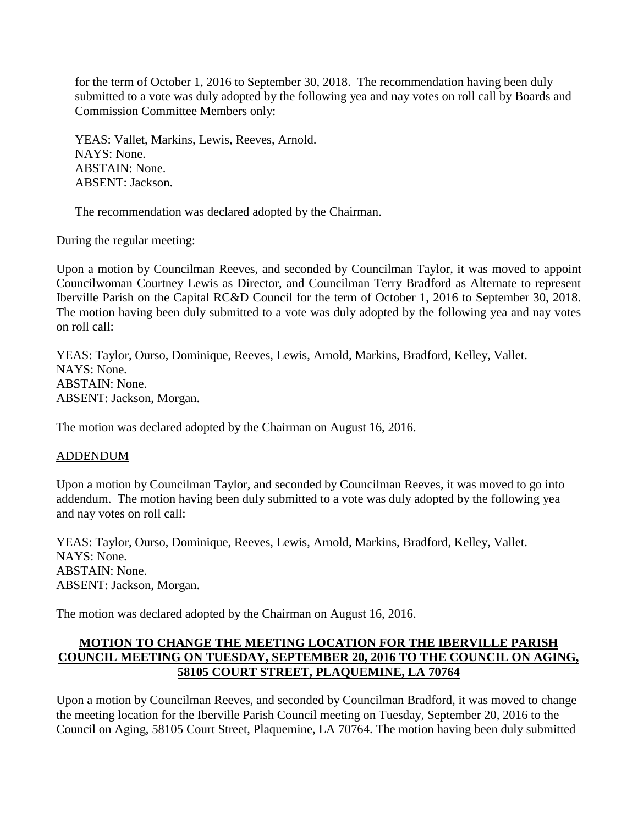for the term of October 1, 2016 to September 30, 2018. The recommendation having been duly submitted to a vote was duly adopted by the following yea and nay votes on roll call by Boards and Commission Committee Members only:

YEAS: Vallet, Markins, Lewis, Reeves, Arnold. NAYS: None. ABSTAIN: None. ABSENT: Jackson.

The recommendation was declared adopted by the Chairman.

During the regular meeting:

Upon a motion by Councilman Reeves, and seconded by Councilman Taylor, it was moved to appoint Councilwoman Courtney Lewis as Director, and Councilman Terry Bradford as Alternate to represent Iberville Parish on the Capital RC&D Council for the term of October 1, 2016 to September 30, 2018. The motion having been duly submitted to a vote was duly adopted by the following yea and nay votes on roll call:

YEAS: Taylor, Ourso, Dominique, Reeves, Lewis, Arnold, Markins, Bradford, Kelley, Vallet. NAYS: None. ABSTAIN: None. ABSENT: Jackson, Morgan.

The motion was declared adopted by the Chairman on August 16, 2016.

#### ADDENDUM

Upon a motion by Councilman Taylor, and seconded by Councilman Reeves, it was moved to go into addendum. The motion having been duly submitted to a vote was duly adopted by the following yea and nay votes on roll call:

YEAS: Taylor, Ourso, Dominique, Reeves, Lewis, Arnold, Markins, Bradford, Kelley, Vallet. NAYS: None. ABSTAIN: None. ABSENT: Jackson, Morgan.

The motion was declared adopted by the Chairman on August 16, 2016.

# **MOTION TO CHANGE THE MEETING LOCATION FOR THE IBERVILLE PARISH COUNCIL MEETING ON TUESDAY, SEPTEMBER 20, 2016 TO THE COUNCIL ON AGING, 58105 COURT STREET, PLAQUEMINE, LA 70764**

Upon a motion by Councilman Reeves, and seconded by Councilman Bradford, it was moved to change the meeting location for the Iberville Parish Council meeting on Tuesday, September 20, 2016 to the Council on Aging, 58105 Court Street, Plaquemine, LA 70764. The motion having been duly submitted